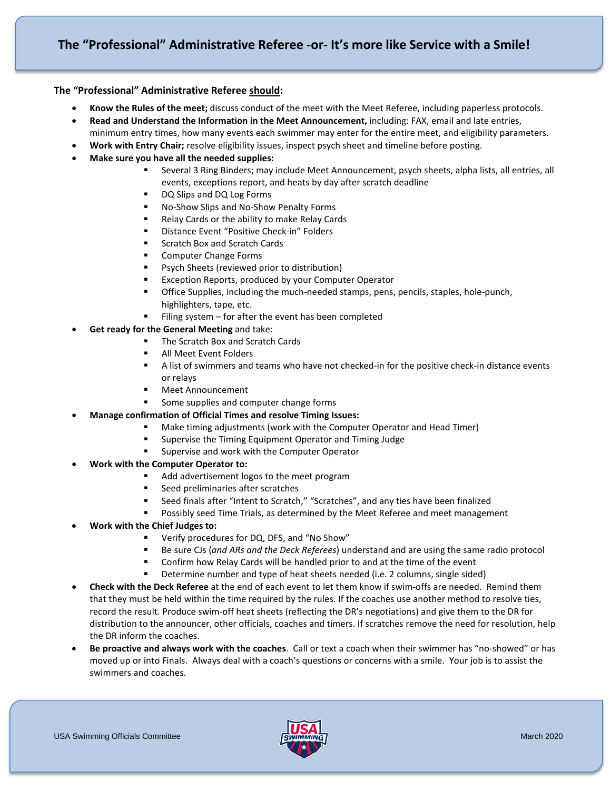### **The "Professional" Administrative Referee should:**

- **Know the Rules of the meet;** discuss conduct of the meet with the Meet Referee, including paperless protocols.
- **Read and Understand the Information in the Meet Announcement,** including: FAX, email and late entries,
- minimum entry times, how many events each swimmer may enter for the entire meet, and eligibility parameters.
- **Work with Entry Chair;** resolve eligibility issues, inspect psych sheet and timeline before posting.
- **Make sure you have all the needed supplies:**
	- Several 3 Ring Binders; may include Meet Announcement, psych sheets, alpha lists, all entries, all events, exceptions report, and heats by day after scratch deadline
	- DQ Slips and DQ Log Forms
	- No-Show Slips and No-Show Penalty Forms
	- Relay Cards or the ability to make Relay Cards
	- **•** Distance Event "Positive Check-in" Folders
	- Scratch Box and Scratch Cards
	- **EXECOMPUTER Change Forms**
	- **Psych Sheets (reviewed prior to distribution)**
	- **EXCEPT EXCEPT ALGO** Reports, produced by your Computer Operator
	- **The Supplies, including the much-needed stamps, pens, pencils, staples, hole-punch,** highlighters, tape, etc.
	- Filing system for after the event has been completed
- **Get ready for the General Meeting** and take:
	- The Scratch Box and Scratch Cards
	- All Meet Event Folders
	- A list of swimmers and teams who have not checked-in for the positive check-in distance events or relays
	- Meet Announcement
	- Some supplies and computer change forms
- **Manage confirmation of Official Times and resolve Timing Issues:**
	- Make timing adjustments (work with the Computer Operator and Head Timer)
	- **EXECT:** Supervise the Timing Equipment Operator and Timing Judge
	- **Supervise and work with the Computer Operator**
- **Work with the Computer Operator to:**
	- Add advertisement logos to the meet program
	- Seed preliminaries after scratches
	- Seed finals after "Intent to Scratch," "Scratches", and any ties have been finalized
	- **Possibly seed Time Trials, as determined by the Meet Referee and meet management**
- **Work with the Chief Judges to:**
	- Verify procedures for DQ, DFS, and "No Show"
	- Be sure CJs (*and ARs and the Deck Referees*) understand and are using the same radio protocol
	- Confirm how Relay Cards will be handled prior to and at the time of the event
	- Determine number and type of heat sheets needed (i.e. 2 columns, single sided)
- **Check with the Deck Referee** at the end of each event to let them know if swim-offs are needed. Remind them that they must be held within the time required by the rules. If the coaches use another method to resolve ties, record the result. Produce swim-off heat sheets (reflecting the DR's negotiations) and give them to the DR for distribution to the announcer, other officials, coaches and timers. If scratches remove the need for resolution, help the DR inform the coaches.
- **Be proactive and always work with the coaches**. Call or text a coach when their swimmer has "no-showed" or has moved up or into Finals. Always deal with a coach's questions or concerns with a smile. Your job is to assist the swimmers and coaches.

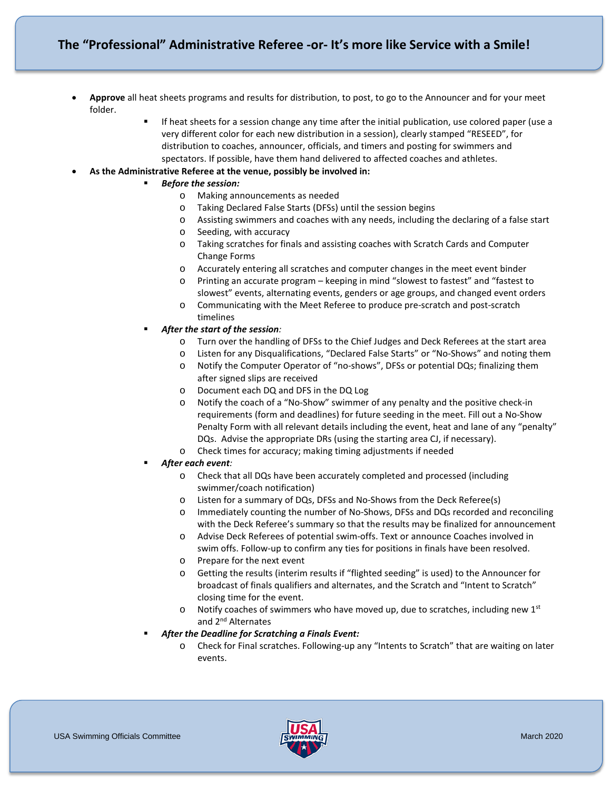# **The "Professional" Administrative Referee -or- It's more like Service with a Smile!**

- **Approve** all heat sheets programs and results for distribution, to post, to go to the Announcer and for your meet folder.
	- If heat sheets for a session change any time after the initial publication, use colored paper (use a very different color for each new distribution in a session), clearly stamped "RESEED", for distribution to coaches, announcer, officials, and timers and posting for swimmers and spectators. If possible, have them hand delivered to affected coaches and athletes.
- **As the Administrative Referee at the venue, possibly be involved in:**
	- *Before the session:*
		- o Making announcements as needed
		- o Taking Declared False Starts (DFSs) until the session begins
		- o Assisting swimmers and coaches with any needs, including the declaring of a false start
		- o Seeding, with accuracy
		- o Taking scratches for finals and assisting coaches with Scratch Cards and Computer Change Forms
		- o Accurately entering all scratches and computer changes in the meet event binder
		- o Printing an accurate program keeping in mind "slowest to fastest" and "fastest to slowest" events, alternating events, genders or age groups, and changed event orders
		- o Communicating with the Meet Referee to produce pre-scratch and post-scratch timelines
	- *After the start of the session:*
		- Turn over the handling of DFSs to the Chief Judges and Deck Referees at the start area
		- o Listen for any Disqualifications, "Declared False Starts" or "No-Shows" and noting them
		- o Notify the Computer Operator of "no-shows", DFSs or potential DQs; finalizing them after signed slips are received
		- o Document each DQ and DFS in the DQ Log
		- o Notify the coach of a "No-Show" swimmer of any penalty and the positive check-in requirements (form and deadlines) for future seeding in the meet. Fill out a No-Show Penalty Form with all relevant details including the event, heat and lane of any "penalty" DQs. Advise the appropriate DRs (using the starting area CJ, if necessary).
		- o Check times for accuracy; making timing adjustments if needed
	- *After each event:*
		- o Check that all DQs have been accurately completed and processed (including swimmer/coach notification)
		- o Listen for a summary of DQs, DFSs and No-Shows from the Deck Referee(s)
		- o Immediately counting the number of No-Shows, DFSs and DQs recorded and reconciling with the Deck Referee's summary so that the results may be finalized for announcement
		- o Advise Deck Referees of potential swim-offs. Text or announce Coaches involved in swim offs. Follow-up to confirm any ties for positions in finals have been resolved.
		- o Prepare for the next event
		- o Getting the results (interim results if "flighted seeding" is used) to the Announcer for broadcast of finals qualifiers and alternates, and the Scratch and "Intent to Scratch" closing time for the event.
		- $\circ$  Notify coaches of swimmers who have moved up, due to scratches, including new 1st and 2<sup>nd</sup> Alternates
	- *After the Deadline for Scratching a Finals Event:*
		- o Check for Final scratches. Following-up any "Intents to Scratch" that are waiting on later events.

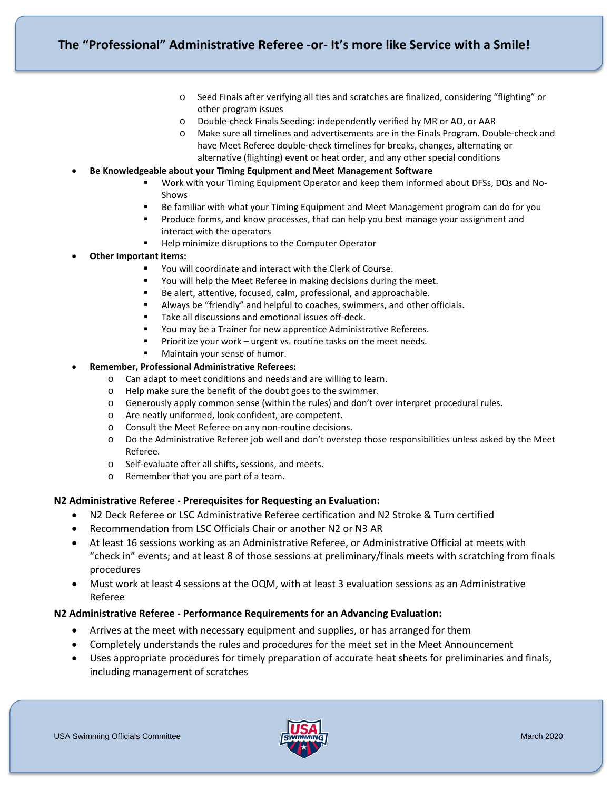- o Seed Finals after verifying all ties and scratches are finalized, considering "flighting" or other program issues
- o Double-check Finals Seeding: independently verified by MR or AO, or AAR
- o Make sure all timelines and advertisements are in the Finals Program. Double-check and have Meet Referee double-check timelines for breaks, changes, alternating or alternative (flighting) event or heat order, and any other special conditions
- **Be Knowledgeable about your Timing Equipment and Meet Management Software**
	- Work with your Timing Equipment Operator and keep them informed about DFSs, DQs and No-Shows
	- Be familiar with what your Timing Equipment and Meet Management program can do for you
	- Produce forms, and know processes, that can help you best manage your assignment and interact with the operators
	- **Help minimize disruptions to the Computer Operator**
- **Other Important items:**
	- You will coordinate and interact with the Clerk of Course.
	- You will help the Meet Referee in making decisions during the meet.
	- Be alert, attentive, focused, calm, professional, and approachable.
	- Always be "friendly" and helpful to coaches, swimmers, and other officials.
	- Take all discussions and emotional issues off-deck.
	- You may be a Trainer for new apprentice Administrative Referees.
	- Prioritize your work urgent vs. routine tasks on the meet needs.
	- Maintain your sense of humor.

#### • **Remember, Professional Administrative Referees:**

- o Can adapt to meet conditions and needs and are willing to learn.
- o Help make sure the benefit of the doubt goes to the swimmer.
- o Generously apply common sense (within the rules) and don't over interpret procedural rules.
- o Are neatly uniformed, look confident, are competent.
- o Consult the Meet Referee on any non-routine decisions.
- o Do the Administrative Referee job well and don't overstep those responsibilities unless asked by the Meet Referee.
- o Self-evaluate after all shifts, sessions, and meets.
- o Remember that you are part of a team.

#### **N2 Administrative Referee - Prerequisites for Requesting an Evaluation:**

- N2 Deck Referee or LSC Administrative Referee certification and N2 Stroke & Turn certified
- Recommendation from LSC Officials Chair or another N2 or N3 AR
- At least 16 sessions working as an Administrative Referee, or Administrative Official at meets with "check in" events; and at least 8 of those sessions at preliminary/finals meets with scratching from finals procedures
- Must work at least 4 sessions at the OQM, with at least 3 evaluation sessions as an Administrative Referee

#### **N2 Administrative Referee - Performance Requirements for an Advancing Evaluation:**

- Arrives at the meet with necessary equipment and supplies, or has arranged for them
- Completely understands the rules and procedures for the meet set in the Meet Announcement
- Uses appropriate procedures for timely preparation of accurate heat sheets for preliminaries and finals, including management of scratches